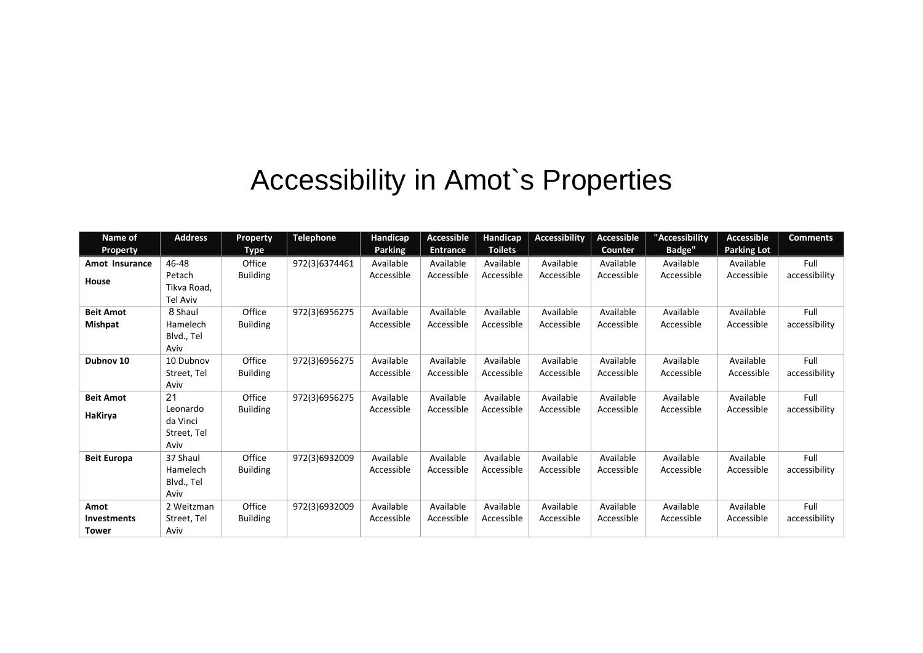## Accessibility in Amot`s Properties

| Name of              | <b>Address</b>                              | Property        | <b>Telephone</b> | Handicap       | <b>Accessible</b> | Handicap       | <b>Accessibility</b> | Accessible | "Accessibility | Accessible         | <b>Comments</b> |
|----------------------|---------------------------------------------|-----------------|------------------|----------------|-------------------|----------------|----------------------|------------|----------------|--------------------|-----------------|
| <b>Property</b>      |                                             | <b>Type</b>     |                  | <b>Parking</b> | <b>Entrance</b>   | <b>Toilets</b> |                      | Counter    | <b>Badge"</b>  | <b>Parking Lot</b> |                 |
| Amot Insurance       | 46-48                                       | Office          | 972(3)6374461    | Available      | Available         | Available      | Available            | Available  | Available      | Available          | Full            |
| House                | Petach<br>Tikva Road,<br>Tel Aviv           | <b>Building</b> |                  | Accessible     | Accessible        | Accessible     | Accessible           | Accessible | Accessible     | Accessible         | accessibility   |
| <b>Beit Amot</b>     | 8 Shaul                                     | Office          | 972(3)6956275    | Available      | Available         | Available      | Available            | Available  | Available      | Available          | Full            |
| <b>Mishpat</b>       | Hamelech<br>Blvd., Tel                      | <b>Building</b> |                  | Accessible     | Accessible        | Accessible     | Accessible           | Accessible | Accessible     | Accessible         | accessibility   |
|                      | Aviv                                        |                 |                  |                |                   |                |                      |            |                |                    |                 |
| Dubnov <sub>10</sub> | 10 Dubnov                                   | Office          | 972(3)6956275    | Available      | Available         | Available      | Available            | Available  | Available      | Available          | Full            |
|                      | Street, Tel                                 | <b>Building</b> |                  | Accessible     | Accessible        | Accessible     | Accessible           | Accessible | Accessible     | Accessible         | accessibility   |
|                      | Aviv                                        |                 |                  |                |                   |                |                      |            |                |                    |                 |
| <b>Beit Amot</b>     | 21                                          | Office          | 972(3)6956275    | Available      | Available         | Available      | Available            | Available  | Available      | Available          | Full            |
| HaKirya              | Leonardo<br>da Vinci<br>Street, Tel<br>Aviv | <b>Building</b> |                  | Accessible     | Accessible        | Accessible     | Accessible           | Accessible | Accessible     | Accessible         | accessibility   |
| <b>Beit Europa</b>   | 37 Shaul                                    | Office          | 972(3)6932009    | Available      | Available         | Available      | Available            | Available  | Available      | Available          | Full            |
|                      | Hamelech                                    | <b>Building</b> |                  | Accessible     | Accessible        | Accessible     | Accessible           | Accessible | Accessible     | Accessible         | accessibility   |
|                      | Blvd., Tel                                  |                 |                  |                |                   |                |                      |            |                |                    |                 |
|                      | Aviv                                        |                 |                  |                |                   |                |                      |            |                |                    |                 |
| Amot                 | 2 Weitzman                                  | Office          | 972(3)6932009    | Available      | Available         | Available      | Available            | Available  | Available      | Available          | Full            |
| <b>Investments</b>   | Street, Tel                                 | <b>Building</b> |                  | Accessible     | Accessible        | Accessible     | Accessible           | Accessible | Accessible     | Accessible         | accessibility   |
| <b>Tower</b>         | Aviv                                        |                 |                  |                |                   |                |                      |            |                |                    |                 |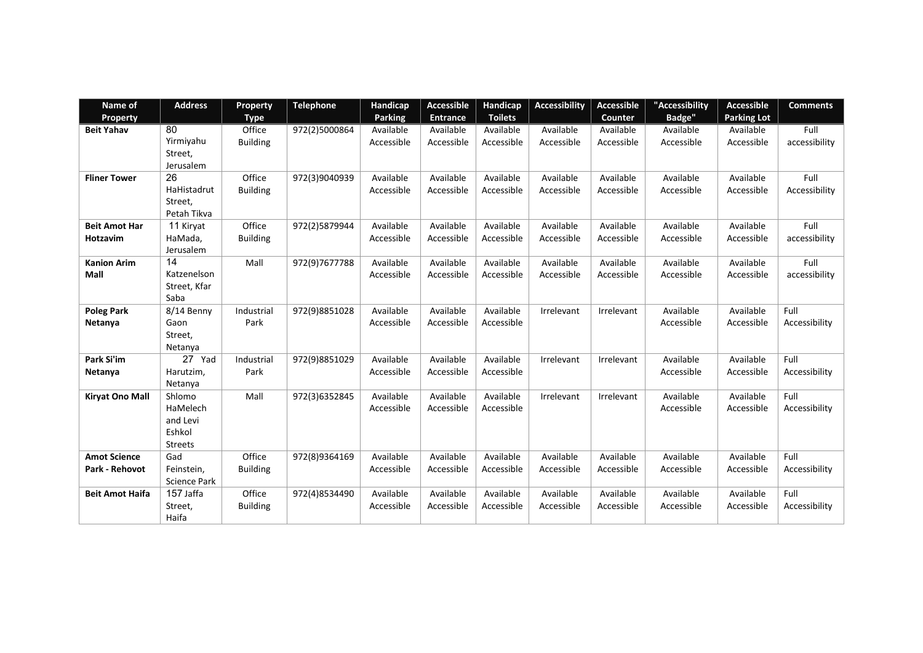| Name of                | <b>Address</b>      | <b>Property</b> | <b>Telephone</b> | Handicap       | <b>Accessible</b> | Handicap       | <b>Accessibility</b> | <b>Accessible</b> | "Accessibility | Accessible         | <b>Comments</b> |
|------------------------|---------------------|-----------------|------------------|----------------|-------------------|----------------|----------------------|-------------------|----------------|--------------------|-----------------|
| Property               |                     | <b>Type</b>     |                  | <b>Parking</b> | <b>Entrance</b>   | <b>Toilets</b> |                      | Counter           | <b>Badge"</b>  | <b>Parking Lot</b> |                 |
| <b>Beit Yahav</b>      | 80                  | Office          | 972(2)5000864    | Available      | Available         | Available      | Available            | Available         | Available      | Available          | Full            |
|                        | Yirmiyahu           | <b>Building</b> |                  | Accessible     | Accessible        | Accessible     | Accessible           | Accessible        | Accessible     | Accessible         | accessibility   |
|                        | Street,             |                 |                  |                |                   |                |                      |                   |                |                    |                 |
|                        | Jerusalem           |                 |                  |                |                   |                |                      |                   |                |                    |                 |
| <b>Fliner Tower</b>    | 26                  | Office          | 972(3)9040939    | Available      | Available         | Available      | Available            | Available         | Available      | Available          | Full            |
|                        | HaHistadrut         | <b>Building</b> |                  | Accessible     | Accessible        | Accessible     | Accessible           | Accessible        | Accessible     | Accessible         | Accessibility   |
|                        | Street,             |                 |                  |                |                   |                |                      |                   |                |                    |                 |
|                        | Petah Tikva         |                 |                  |                |                   |                |                      |                   |                |                    |                 |
| <b>Beit Amot Har</b>   | 11 Kiryat           | Office          | 972(2)5879944    | Available      | Available         | Available      | Available            | Available         | Available      | Available          | Full            |
| Hotzavim               | HaMada,             | <b>Building</b> |                  | Accessible     | Accessible        | Accessible     | Accessible           | Accessible        | Accessible     | Accessible         | accessibility   |
|                        | Jerusalem           |                 |                  |                |                   |                |                      |                   |                |                    |                 |
| <b>Kanion Arim</b>     | 14                  | Mall            | 972(9)7677788    | Available      | Available         | Available      | Available            | Available         | Available      | Available          | Full            |
| Mall                   | Katzenelson         |                 |                  | Accessible     | Accessible        | Accessible     | Accessible           | Accessible        | Accessible     | Accessible         | accessibility   |
|                        | Street, Kfar        |                 |                  |                |                   |                |                      |                   |                |                    |                 |
|                        | Saba                |                 |                  |                |                   |                |                      |                   |                |                    |                 |
| <b>Poleg Park</b>      | 8/14 Benny          | Industrial      | 972(9)8851028    | Available      | Available         | Available      | Irrelevant           | Irrelevant        | Available      | Available          | Full            |
| Netanya                | Gaon                | Park            |                  | Accessible     | Accessible        | Accessible     |                      |                   | Accessible     | Accessible         | Accessibility   |
|                        | Street,             |                 |                  |                |                   |                |                      |                   |                |                    |                 |
|                        | Netanya             |                 |                  |                |                   |                |                      |                   |                |                    |                 |
| Park Si'im             | 27 Yad              | Industrial      | 972(9)8851029    | Available      | Available         | Available      | Irrelevant           | Irrelevant        | Available      | Available          | Full            |
| Netanya                | Harutzim,           | Park            |                  | Accessible     | Accessible        | Accessible     |                      |                   | Accessible     | Accessible         | Accessibility   |
|                        | Netanya             |                 |                  |                |                   |                |                      |                   |                |                    |                 |
| <b>Kiryat Ono Mall</b> | Shlomo              | Mall            | 972(3)6352845    | Available      | Available         | Available      | Irrelevant           | Irrelevant        | Available      | Available          | Full            |
|                        | HaMelech            |                 |                  | Accessible     | Accessible        | Accessible     |                      |                   | Accessible     | Accessible         | Accessibility   |
|                        | and Levi            |                 |                  |                |                   |                |                      |                   |                |                    |                 |
|                        | Eshkol              |                 |                  |                |                   |                |                      |                   |                |                    |                 |
|                        | <b>Streets</b>      |                 |                  |                |                   |                |                      |                   |                |                    |                 |
| <b>Amot Science</b>    | Gad                 | Office          | 972(8)9364169    | Available      | Available         | Available      | Available            | Available         | Available      | Available          | Full            |
| Park - Rehovot         | Feinstein,          | <b>Building</b> |                  | Accessible     | Accessible        | Accessible     | Accessible           | Accessible        | Accessible     | Accessible         | Accessibility   |
|                        | <b>Science Park</b> |                 |                  |                |                   |                |                      |                   |                |                    |                 |
| <b>Beit Amot Haifa</b> | 157 Jaffa           | Office          | 972(4)8534490    | Available      | Available         | Available      | Available            | Available         | Available      | Available          | Full            |
|                        | Street,             | <b>Building</b> |                  | Accessible     | Accessible        | Accessible     | Accessible           | Accessible        | Accessible     | Accessible         | Accessibility   |
|                        | Haifa               |                 |                  |                |                   |                |                      |                   |                |                    |                 |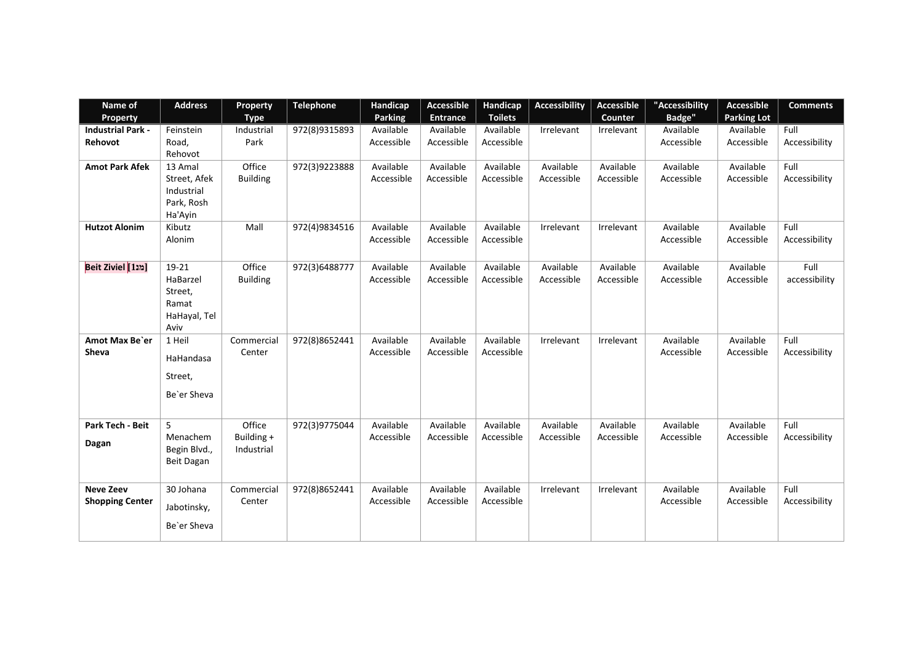| Name of                  | <b>Address</b>    | Property        | <b>Telephone</b> | Handicap       | <b>Accessible</b> | Handicap       | <b>Accessibility</b> | Accessible | "Accessibility | <b>Accessible</b>  | <b>Comments</b> |
|--------------------------|-------------------|-----------------|------------------|----------------|-------------------|----------------|----------------------|------------|----------------|--------------------|-----------------|
| Property                 |                   | <b>Type</b>     |                  | <b>Parking</b> | <b>Entrance</b>   | <b>Toilets</b> |                      | Counter    | <b>Badge"</b>  | <b>Parking Lot</b> |                 |
| <b>Industrial Park -</b> | Feinstein         | Industrial      | 972(8)9315893    | Available      | Available         | Available      | Irrelevant           | Irrelevant | Available      | Available          | Full            |
| Rehovot                  | Road,             | Park            |                  | Accessible     | Accessible        | Accessible     |                      |            | Accessible     | Accessible         | Accessibility   |
|                          | Rehovot           |                 |                  |                |                   |                |                      |            |                |                    |                 |
| <b>Amot Park Afek</b>    | 13 Amal           | Office          | 972(3)9223888    | Available      | Available         | Available      | Available            | Available  | Available      | Available          | Full            |
|                          | Street, Afek      | <b>Building</b> |                  | Accessible     | Accessible        | Accessible     | Accessible           | Accessible | Accessible     | Accessible         | Accessibility   |
|                          | Industrial        |                 |                  |                |                   |                |                      |            |                |                    |                 |
|                          | Park, Rosh        |                 |                  |                |                   |                |                      |            |                |                    |                 |
|                          | Ha'Ayin           |                 |                  |                |                   |                |                      |            |                |                    |                 |
| <b>Hutzot Alonim</b>     | Kibutz            | Mall            | 972(4)9834516    | Available      | Available         | Available      | Irrelevant           | Irrelevant | Available      | Available          | Full            |
|                          | Alonim            |                 |                  | Accessible     | Accessible        | Accessible     |                      |            | Accessible     | Accessible         | Accessibility   |
|                          |                   |                 |                  |                |                   |                |                      |            |                |                    |                 |
| [מנ1] Beit Ziviel        | 19-21             | Office          | 972(3)6488777    | Available      | Available         | Available      | Available            | Available  | Available      | Available          | Full            |
|                          | HaBarzel          | <b>Building</b> |                  | Accessible     | Accessible        | Accessible     | Accessible           | Accessible | Accessible     | Accessible         | accessibility   |
|                          | Street,           |                 |                  |                |                   |                |                      |            |                |                    |                 |
|                          | Ramat             |                 |                  |                |                   |                |                      |            |                |                    |                 |
|                          | HaHayal, Tel      |                 |                  |                |                   |                |                      |            |                |                    |                 |
|                          | Aviv              |                 |                  |                |                   |                |                      |            |                |                    |                 |
| Amot Max Be'er           | 1 Heil            | Commercial      | 972(8)8652441    | Available      | Available         | Available      | Irrelevant           | Irrelevant | Available      | Available          | Full            |
| <b>Sheva</b>             | HaHandasa         | Center          |                  | Accessible     | Accessible        | Accessible     |                      |            | Accessible     | Accessible         | Accessibility   |
|                          |                   |                 |                  |                |                   |                |                      |            |                |                    |                 |
|                          | Street,           |                 |                  |                |                   |                |                      |            |                |                    |                 |
|                          | Be'er Sheva       |                 |                  |                |                   |                |                      |            |                |                    |                 |
|                          |                   |                 |                  |                |                   |                |                      |            |                |                    |                 |
| Park Tech - Beit         | 5                 | Office          | 972(3)9775044    | Available      | Available         | Available      | Available            | Available  | Available      | Available          | Full            |
|                          | Menachem          | Building +      |                  | Accessible     | Accessible        | Accessible     | Accessible           | Accessible | Accessible     | Accessible         | Accessibility   |
| Dagan                    | Begin Blvd.,      | Industrial      |                  |                |                   |                |                      |            |                |                    |                 |
|                          | <b>Beit Dagan</b> |                 |                  |                |                   |                |                      |            |                |                    |                 |
|                          |                   |                 |                  |                |                   |                |                      |            |                |                    |                 |
| <b>Neve Zeev</b>         | 30 Johana         | Commercial      | 972(8)8652441    | Available      | Available         | Available      | Irrelevant           | Irrelevant | Available      | Available          | Full            |
| <b>Shopping Center</b>   |                   | Center          |                  | Accessible     | Accessible        | Accessible     |                      |            | Accessible     | Accessible         | Accessibility   |
|                          | Jabotinsky,       |                 |                  |                |                   |                |                      |            |                |                    |                 |
|                          | Be'er Sheva       |                 |                  |                |                   |                |                      |            |                |                    |                 |
|                          |                   |                 |                  |                |                   |                |                      |            |                |                    |                 |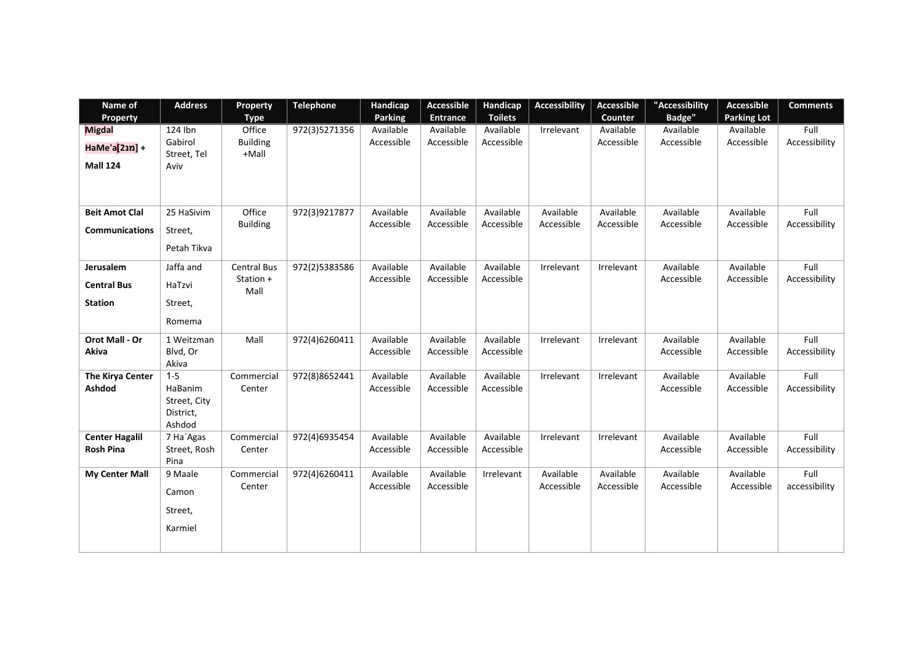| Name of                           | <b>Address</b>                      | <b>Property</b>          | <b>Telephone</b> | Handicap<br><b>Parking</b> | <b>Accessible</b><br><b>Entrance</b> | Handicap<br><b>Toilets</b> | <b>Accessibility</b> | <b>Accessible</b><br>Counter | "Accessibility<br><b>Badge"</b> | <b>Accessible</b><br><b>Parking Lot</b> | <b>Comments</b>       |
|-----------------------------------|-------------------------------------|--------------------------|------------------|----------------------------|--------------------------------------|----------------------------|----------------------|------------------------------|---------------------------------|-----------------------------------------|-----------------------|
| Property<br><b>Migdal</b>         | $124$ Ibn                           | <b>Type</b><br>Office    | 972(3)5271356    | Available                  | Available                            | Available                  | Irrelevant           | Available                    | Available                       | Available                               | Full                  |
| HaMe'a[21n]+                      | Gabirol<br>Street, Tel              | <b>Building</b><br>+Mall |                  | Accessible                 | Accessible                           | Accessible                 |                      | Accessible                   | Accessible                      | Accessible                              | Accessibility         |
| <b>Mall 124</b>                   | Aviv                                |                          |                  |                            |                                      |                            |                      |                              |                                 |                                         |                       |
| <b>Beit Amot Clal</b>             | 25 HaSivim                          | Office                   | 972(3)9217877    | Available                  | Available                            | Available                  | Available            | Available                    | Available                       | Available                               | Full                  |
| <b>Communications</b>             | Street,                             | <b>Building</b>          |                  | Accessible                 | Accessible                           | Accessible                 | Accessible           | Accessible                   | Accessible                      | Accessible                              | Accessibility         |
|                                   | Petah Tikva                         |                          |                  |                            |                                      |                            |                      |                              |                                 |                                         |                       |
| Jerusalem                         | Jaffa and                           | <b>Central Bus</b>       | 972(2)5383586    | Available                  | Available                            | Available                  | Irrelevant           | Irrelevant                   | Available                       | Available                               | Full                  |
| <b>Central Bus</b>                | HaTzvi                              | Station +<br>Mall        |                  | Accessible                 | Accessible                           | Accessible                 |                      |                              | Accessible                      | Accessible                              | Accessibility         |
| <b>Station</b>                    | Street,                             |                          |                  |                            |                                      |                            |                      |                              |                                 |                                         |                       |
|                                   | Romema                              |                          |                  |                            |                                      |                            |                      |                              |                                 |                                         |                       |
| Orot Mall - Or                    | 1 Weitzman                          | Mall                     | 972(4)6260411    | Available                  | Available                            | Available                  | Irrelevant           | Irrelevant                   | Available                       | Available                               | Full                  |
| Akiva                             | Blvd, Or<br>Akiva                   |                          |                  | Accessible                 | Accessible                           | Accessible                 |                      |                              | Accessible                      | Accessible                              | Accessibility         |
| <b>The Kirya Center</b><br>Ashdod | $1 - 5$<br><b>HaBanim</b>           | Commercial<br>Center     | 972(8)8652441    | Available<br>Accessible    | Available<br>Accessible              | Available<br>Accessible    | Irrelevant           | Irrelevant                   | Available<br>Accessible         | Available<br>Accessible                 | Full<br>Accessibility |
|                                   | Street, City<br>District,<br>Ashdod |                          |                  |                            |                                      |                            |                      |                              |                                 |                                         |                       |
| <b>Center Hagalil</b>             | 7 Ha`Agas                           | Commercial               | 972(4)6935454    | Available                  | Available                            | Available                  | Irrelevant           | Irrelevant                   | Available                       | Available                               | Full                  |
| <b>Rosh Pina</b>                  | Street, Rosh<br>Pina                | Center                   |                  | Accessible                 | Accessible                           | Accessible                 |                      |                              | Accessible                      | Accessible                              | Accessibility         |
| <b>My Center Mall</b>             | 9 Maale                             | Commercial               | 972(4)6260411    | Available                  | Available                            | Irrelevant                 | Available            | Available                    | Available                       | Available                               | Full                  |
|                                   | Camon                               | Center                   |                  | Accessible                 | Accessible                           |                            | Accessible           | Accessible                   | Accessible                      | Accessible                              | accessibility         |
|                                   | Street,                             |                          |                  |                            |                                      |                            |                      |                              |                                 |                                         |                       |
|                                   | Karmiel                             |                          |                  |                            |                                      |                            |                      |                              |                                 |                                         |                       |
|                                   |                                     |                          |                  |                            |                                      |                            |                      |                              |                                 |                                         |                       |